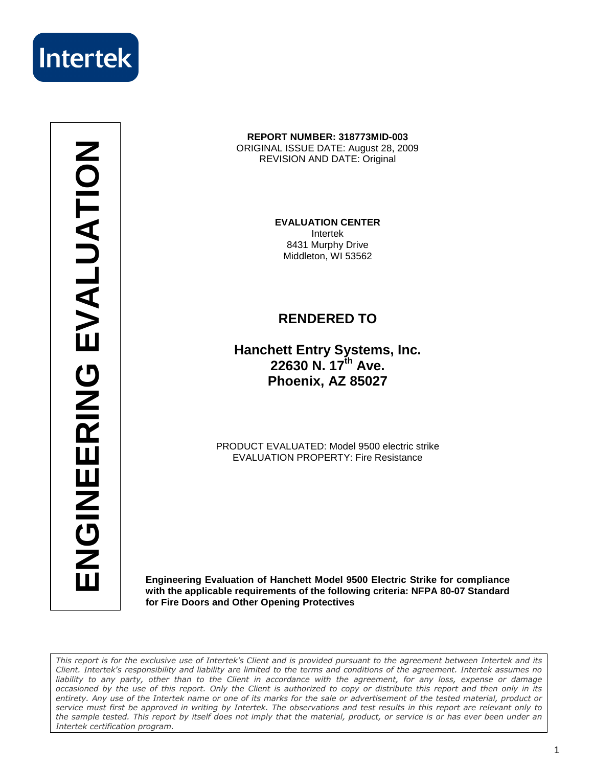

**ENGINEERING EVALUATION**ENGINEERING EVALUATION

### **REPORT NUMBER: 318773MID-003**  ORIGINAL ISSUE DATE: August 28, 2009 REVISION AND DATE: Original

**EVALUATION CENTER**  Intertek 8431 Murphy Drive Middleton, WI 53562

### **RENDERED TO**

**Hanchett Entry Systems, Inc. 22630 N. 17th Ave. Phoenix, AZ 85027**

PRODUCT EVALUATED: Model 9500 electric strike EVALUATION PROPERTY: Fire Resistance

**Engineering Evaluation of Hanchett Model 9500 Electric Strike for compliance with the applicable requirements of the following criteria: NFPA 80-07 Standard for Fire Doors and Other Opening Protectives** 

This report is for the exclusive use of Intertek's Client and is provided pursuant to the agreement between Intertek and its Client. Intertek's responsibility and liability are limited to the terms and conditions of the agreement. Intertek assumes no liability to any party, other than to the Client in accordance with the agreement, for any loss, expense or damage occasioned by the use of this report. Only the Client is authorized to copy or distribute this report and then only in its entirety. Any use of the Intertek name or one of its marks for the sale or advertisement of the tested material, product or service must first be approved in writing by Intertek. The observations and test results in this report are relevant only to the sample tested. This report by itself does not imply that the material, product, or service is or has ever been under an Intertek certification program.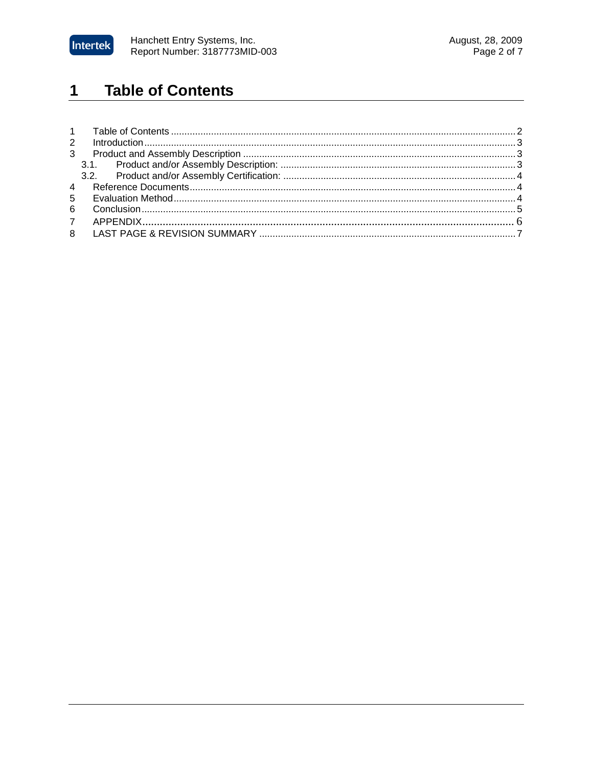

#### **Table of Contents**  $\mathbf 1$

| $\mathbf{3}$ |  |
|--------------|--|
|              |  |
|              |  |
|              |  |
|              |  |
| 6            |  |
|              |  |
|              |  |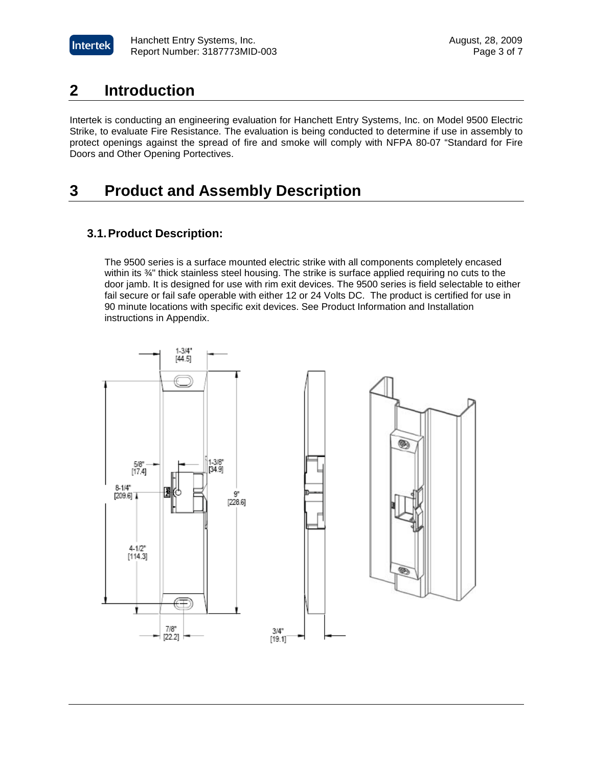

## **2 Introduction**

Intertek is conducting an engineering evaluation for Hanchett Entry Systems, Inc. on Model 9500 Electric Strike, to evaluate Fire Resistance. The evaluation is being conducted to determine if use in assembly to protect openings against the spread of fire and smoke will comply with NFPA 80-07 "Standard for Fire Doors and Other Opening Portectives.

# **3 Product and Assembly Description**

### **3.1. Product Description:**

 The 9500 series is a surface mounted electric strike with all components completely encased within its ¾" thick stainless steel housing. The strike is surface applied requiring no cuts to the door jamb. It is designed for use with rim exit devices. The 9500 series is field selectable to either fail secure or fail safe operable with either 12 or 24 Volts DC. The product is certified for use in 90 minute locations with specific exit devices. See Product Information and Installation instructions in Appendix.

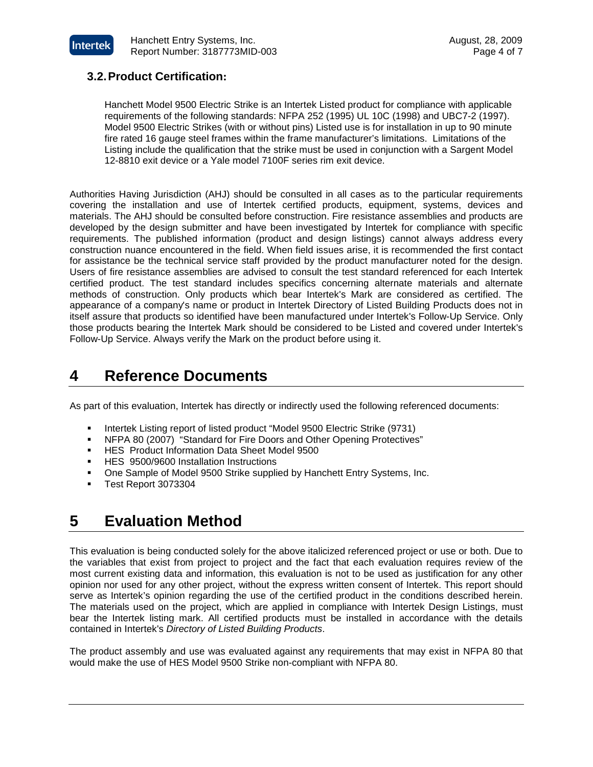

### **3.2. Product Certification:**

Hanchett Model 9500 Electric Strike is an Intertek Listed product for compliance with applicable requirements of the following standards: NFPA 252 (1995) UL 10C (1998) and UBC7-2 (1997). Model 9500 Electric Strikes (with or without pins) Listed use is for installation in up to 90 minute fire rated 16 gauge steel frames within the frame manufacturer's limitations. Limitations of the Listing include the qualification that the strike must be used in conjunction with a Sargent Model 12-8810 exit device or a Yale model 7100F series rim exit device.

Authorities Having Jurisdiction (AHJ) should be consulted in all cases as to the particular requirements covering the installation and use of Intertek certified products, equipment, systems, devices and materials. The AHJ should be consulted before construction. Fire resistance assemblies and products are developed by the design submitter and have been investigated by Intertek for compliance with specific requirements. The published information (product and design listings) cannot always address every construction nuance encountered in the field. When field issues arise, it is recommended the first contact for assistance be the technical service staff provided by the product manufacturer noted for the design. Users of fire resistance assemblies are advised to consult the test standard referenced for each Intertek certified product. The test standard includes specifics concerning alternate materials and alternate methods of construction. Only products which bear Intertek's Mark are considered as certified. The appearance of a company's name or product in Intertek Directory of Listed Building Products does not in itself assure that products so identified have been manufactured under Intertek's Follow-Up Service. Only those products bearing the Intertek Mark should be considered to be Listed and covered under Intertek's Follow-Up Service. Always verify the Mark on the product before using it.

## **4 Reference Documents**

As part of this evaluation, Intertek has directly or indirectly used the following referenced documents:

- Intertek Listing report of listed product "Model 9500 Electric Strike (9731)
- NFPA 80 (2007) "Standard for Fire Doors and Other Opening Protectives"
- HES Product Information Data Sheet Model 9500
- **HES 9500/9600 Installation Instructions**
- One Sample of Model 9500 Strike supplied by Hanchett Entry Systems, Inc.
- Test Report 3073304

## **5 Evaluation Method**

This evaluation is being conducted solely for the above italicized referenced project or use or both. Due to the variables that exist from project to project and the fact that each evaluation requires review of the most current existing data and information, this evaluation is not to be used as justification for any other opinion nor used for any other project, without the express written consent of Intertek. This report should serve as Intertek's opinion regarding the use of the certified product in the conditions described herein. The materials used on the project, which are applied in compliance with Intertek Design Listings, must bear the Intertek listing mark. All certified products must be installed in accordance with the details contained in Intertek's Directory of Listed Building Products.

The product assembly and use was evaluated against any requirements that may exist in NFPA 80 that would make the use of HES Model 9500 Strike non-compliant with NFPA 80.